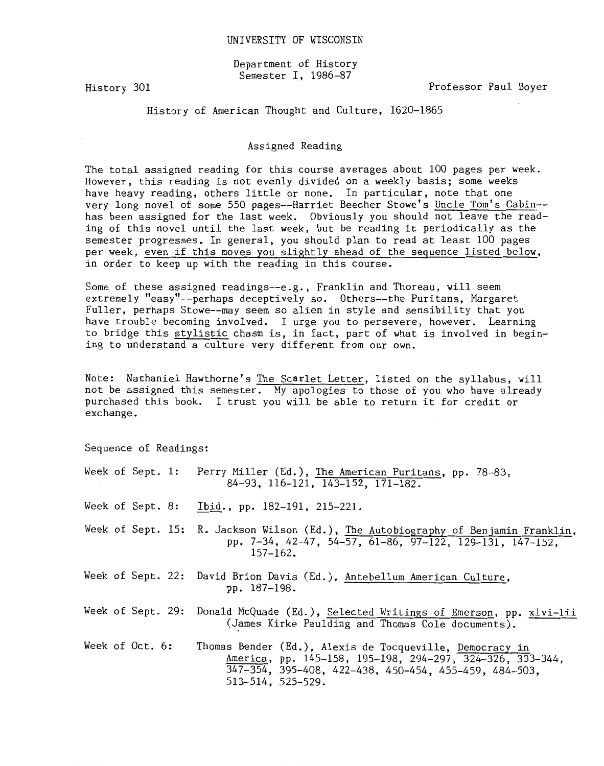Department of History Semester I, 1986-87

History 301

Professor Paul Boyer

History of American Thought and Culture, 1620-1865

## Assigned Reading

The total assigned reading for this course averages about 100 pages per week. However, this reading is not evenly divided on a weekly basis; some weeks have heavy reading, others little or none. In particular, note that one very long novel of some 550 pages--Harriet Beecher Stowe's Uncle Tom's Cabin- has been assigned for the last week. Obviously you should not leave the reading of this novel until the last week, but be reading it periodically as the semester progresses. In general, you should plan to read at least 100 pages per week, even if this moves you slightly ahead of the sequence listed below, in order to keep up with the reading in this course.

Some of these assigned readings--e.g., Franklin and Thoreau, will seem extremely "easy"--perhaps deceptively so. Others--the Puritans, Margaret Fuller, perhaps Stowe--may seem so alien in style and sensibility that you have trouble becoming involved. I urge you to persevere, however. Learning to bridge this stylistic chasm is, in fact, part of what is involved in begining to understand a culture very different from our own.

Note: Nathaniel Hawthorne's The Scarlet Letter, listed on the syllabus, will not be assigned this semester. My apologies to those of you who have already purchased this book. I trust you will be able to return it for credit or exchange.

Sequence of Readings:

Week of Sept. 1: Perry Miller (Ed.), The American Puritans, pp. 78-83, 84-93, 116-121, 143-152, 171-182. Week of Sept. 8: Ibid., pp. 182-191, 215-221. Week of Sept. 15: R. Jackson Wilson (Ed.), The Autobiography of Benjamin Franklin, pp. 7-34, 42-47, 54-57, 61-86, 97-122, 129-131, 147-152, 157-162. Week of Sept. 22: David Brion Davis (Ed.), Antebellum American Culture, pp. 187-198. Week of Sept. 29: Donald McQuade (Ed.), Selected Writings of Emerson, pp. xlvi-lii (James Kirke Paulding and Thomas Cole documents). Week of Oct. 6: Thomas Bender (Ed.), Alexis de Tocqueville, Democracy in America, pp. 145-158, 195-198, 294-297, 324-326, 333-344, 347-354, 395-408, 422-438, 450-454, 455-459, 484-503, 513-514, 525-529.